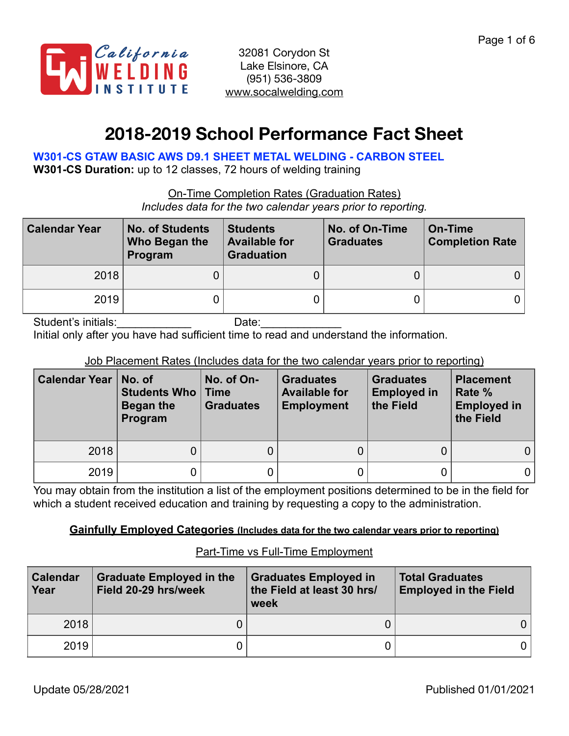

# **2018-2019 School Performance Fact Sheet**

**W301-CS GTAW BASIC AWS D9.1 SHEET METAL WELDING - CARBON STEEL** 

**W301-CS Duration:** up to 12 classes, 72 hours of welding training

On-Time Completion Rates (Graduation Rates)

*Includes data for the two calendar years prior to reporting.*

| <b>Calendar Year</b> | <b>No. of Students</b><br>Who Began the<br>Program | <b>Students</b><br><b>Available for</b><br><b>Graduation</b> | No. of On-Time<br><b>Graduates</b> | On-Time<br><b>Completion Rate</b> |
|----------------------|----------------------------------------------------|--------------------------------------------------------------|------------------------------------|-----------------------------------|
| 2018                 |                                                    |                                                              |                                    |                                   |
| 2019                 |                                                    |                                                              |                                    |                                   |

Student's initials: example and Date: Initial only after you have had sufficient time to read and understand the information.

# Job Placement Rates (Includes data for the two calendar years prior to reporting)

| <b>Calendar Year</b> | No. of<br><b>Students Who   Time</b><br>Began the<br>Program | No. of On-<br><b>Graduates</b> | <b>Graduates</b><br><b>Available for</b><br><b>Employment</b> | <b>Graduates</b><br><b>Employed in</b><br>the Field | <b>Placement</b><br>Rate %<br><b>Employed in</b><br>the Field |
|----------------------|--------------------------------------------------------------|--------------------------------|---------------------------------------------------------------|-----------------------------------------------------|---------------------------------------------------------------|
| 2018                 | 0                                                            |                                |                                                               |                                                     | 0                                                             |
| 2019                 |                                                              |                                |                                                               |                                                     |                                                               |

You may obtain from the institution a list of the employment positions determined to be in the field for which a student received education and training by requesting a copy to the administration.

## **Gainfully Employed Categories (Includes data for the two calendar years prior to reporting)**

| <b>Calendar</b><br>Year | <b>Graduate Employed in the</b><br>Field 20-29 hrs/week | <b>Graduates Employed in</b><br>the Field at least 30 hrs/<br>week | <b>Total Graduates</b><br><b>Employed in the Field</b> |
|-------------------------|---------------------------------------------------------|--------------------------------------------------------------------|--------------------------------------------------------|
| 2018                    |                                                         |                                                                    |                                                        |
| 2019                    |                                                         |                                                                    |                                                        |

# Part-Time vs Full-Time Employment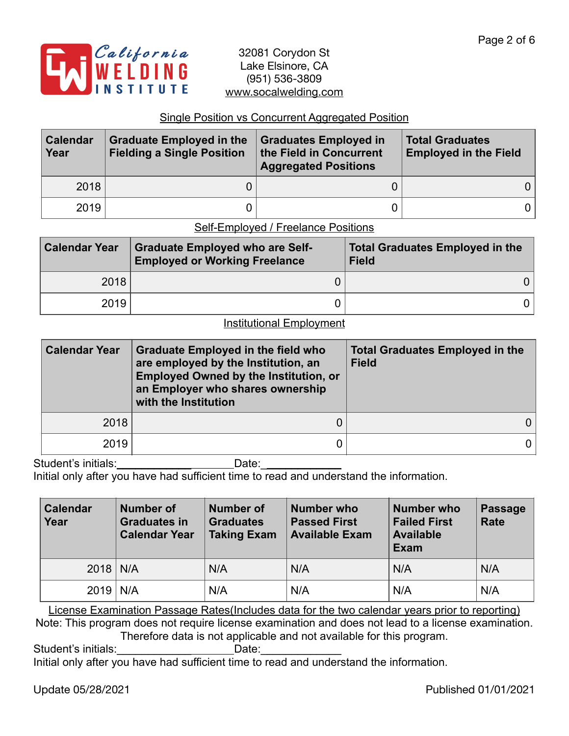

## Single Position vs Concurrent Aggregated Position

| <b>Calendar</b><br>Year | <b>Graduate Employed in the</b><br><b>Fielding a Single Position</b> | Graduates Employed in<br>the Field in Concurrent<br><b>Aggregated Positions</b> | <b>Total Graduates</b><br><b>Employed in the Field</b> |
|-------------------------|----------------------------------------------------------------------|---------------------------------------------------------------------------------|--------------------------------------------------------|
| 2018                    |                                                                      |                                                                                 |                                                        |
| 2019                    |                                                                      |                                                                                 |                                                        |

# Self-Employed / Freelance Positions

| <b>Calendar Year</b> | <b>Graduate Employed who are Self-</b><br><b>Employed or Working Freelance</b> | <b>Total Graduates Employed in the</b><br><b>Field</b> |
|----------------------|--------------------------------------------------------------------------------|--------------------------------------------------------|
| 2018                 |                                                                                |                                                        |
| 2019                 |                                                                                |                                                        |

### Institutional Employment

| <b>Calendar Year</b> | <b>Graduate Employed in the field who</b><br>are employed by the Institution, an<br><b>Employed Owned by the Institution, or</b><br>an Employer who shares ownership<br>with the Institution | <b>Total Graduates Employed in the</b><br><b>Field</b> |
|----------------------|----------------------------------------------------------------------------------------------------------------------------------------------------------------------------------------------|--------------------------------------------------------|
| 2018                 |                                                                                                                                                                                              |                                                        |
| 2019                 |                                                                                                                                                                                              |                                                        |

Student's initials:\_\_\_\_\_\_\_\_\_\_\_\_\_\_\_\_\_\_\_\_\_\_\_\_\_\_Date: \_\_\_\_\_\_\_\_\_\_\_\_\_\_\_\_\_\_\_\_\_\_\_\_\_\_\_\_\_

Initial only after you have had sufficient time to read and understand the information.

| <b>Calendar</b><br>Year | Number of<br><b>Graduates in</b><br><b>Calendar Year</b> | <b>Number of</b><br><b>Graduates</b><br><b>Taking Exam</b> | <b>Number who</b><br><b>Passed First</b><br><b>Available Exam</b> | Number who<br><b>Failed First</b><br><b>Available</b><br><b>Exam</b> | Passage<br><b>Rate</b> |
|-------------------------|----------------------------------------------------------|------------------------------------------------------------|-------------------------------------------------------------------|----------------------------------------------------------------------|------------------------|
| $2018$ N/A              |                                                          | N/A                                                        | N/A                                                               | N/A                                                                  | N/A                    |
| 2019                    | N/A                                                      | N/A                                                        | N/A                                                               | N/A                                                                  | N/A                    |

License Examination Passage Rates(Includes data for the two calendar years prior to reporting) Note: This program does not require license examination and does not lead to a license examination. Therefore data is not applicable and not available for this program.

Student's initials: example and Date:

Initial only after you have had sufficient time to read and understand the information.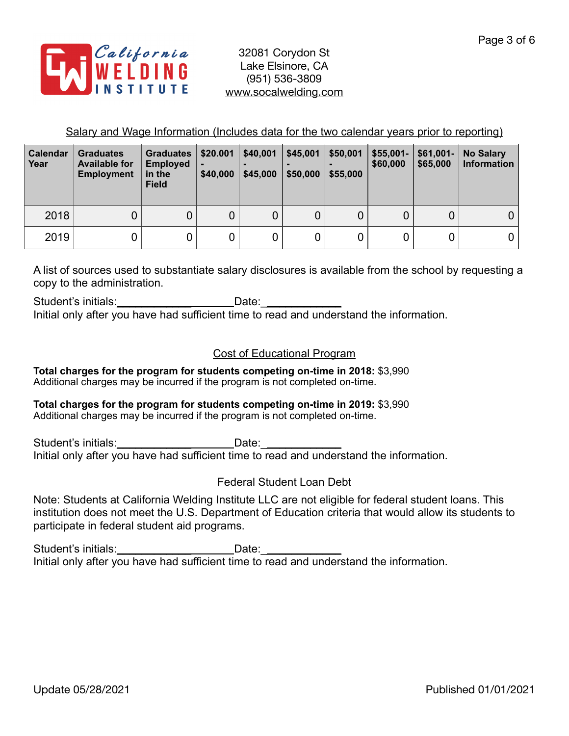

Salary and Wage Information (Includes data for the two calendar years prior to reporting)

| <b>Calendar</b><br>Year | <b>Graduates</b><br><b>Available for</b><br><b>Employment</b> | <b>Graduates</b><br><b>Employed</b><br>in the<br><b>Field</b> | \$20.001<br>\$40,000 | \$40,001<br>\$45,000 | \$45,001<br>\$50,000 | \$50,001<br>\$55,000 | $$55,001-$<br>\$60,000 | $$61,001-$<br>\$65,000 | <b>No Salary</b><br><b>Information</b> |
|-------------------------|---------------------------------------------------------------|---------------------------------------------------------------|----------------------|----------------------|----------------------|----------------------|------------------------|------------------------|----------------------------------------|
| 2018                    | 0                                                             |                                                               | 0                    |                      | 0                    |                      |                        | 0                      | 0                                      |
| 2019                    | 0                                                             |                                                               |                      |                      | 0                    |                      |                        | 0                      |                                        |

A list of sources used to substantiate salary disclosures is available from the school by requesting a copy to the administration.

Student's initials: example and Date: Initial only after you have had sufficient time to read and understand the information.

# Cost of Educational Program

**Total charges for the program for students competing on-time in 2018:** \$3,990 Additional charges may be incurred if the program is not completed on-time.

#### **Total charges for the program for students competing on-time in 2019:** \$3,990 Additional charges may be incurred if the program is not completed on-time.

Student's initials:\_\_\_\_\_\_\_\_\_\_\_\_ Date:\_\_\_\_\_\_\_\_\_\_\_\_\_ Suddents initials.<br>Initial only after you have had sufficient time to read and understand the information.

# Federal Student Loan Debt

Note: Students at California Welding Institute LLC are not eligible for federal student loans. This institution does not meet the U.S. Department of Education criteria that would allow its students to participate in federal student aid programs.

Student's initials:\_\_\_\_\_\_\_\_\_\_\_\_\_\_\_\_\_\_\_\_\_\_\_\_Date:\_\_\_\_ Initial only after you have had sufficient time to read and understand the information.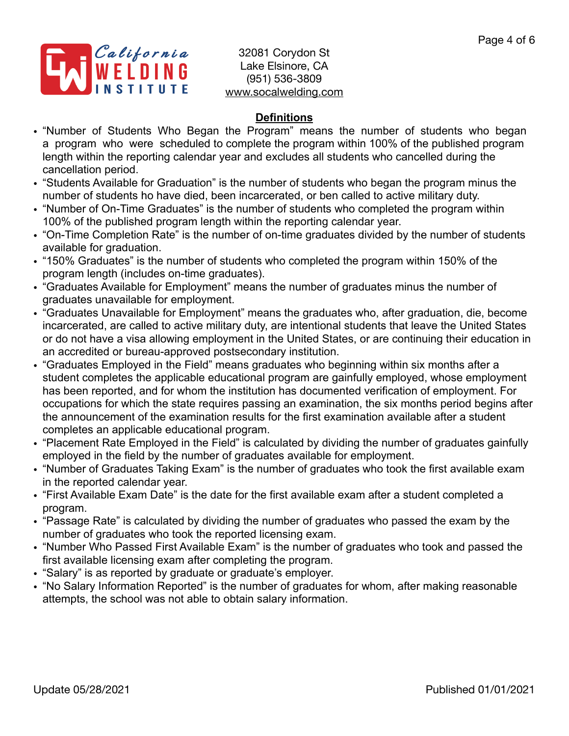

# **Definitions**

- "Number of Students Who Began the Program" means the number of students who began a program who were scheduled to complete the program within 100% of the published program length within the reporting calendar year and excludes all students who cancelled during the cancellation period.
- "Students Available for Graduation" is the number of students who began the program minus the number of students ho have died, been incarcerated, or ben called to active military duty.
- "Number of On-Time Graduates" is the number of students who completed the program within 100% of the published program length within the reporting calendar year.
- "On-Time Completion Rate" is the number of on-time graduates divided by the number of students available for graduation.
- "150% Graduates" is the number of students who completed the program within 150% of the program length (includes on-time graduates).
- "Graduates Available for Employment" means the number of graduates minus the number of graduates unavailable for employment.
- "Graduates Unavailable for Employment" means the graduates who, after graduation, die, become incarcerated, are called to active military duty, are intentional students that leave the United States or do not have a visa allowing employment in the United States, or are continuing their education in an accredited or bureau-approved postsecondary institution.
- "Graduates Employed in the Field" means graduates who beginning within six months after a student completes the applicable educational program are gainfully employed, whose employment has been reported, and for whom the institution has documented verification of employment. For occupations for which the state requires passing an examination, the six months period begins after the announcement of the examination results for the first examination available after a student completes an applicable educational program.
- "Placement Rate Employed in the Field" is calculated by dividing the number of graduates gainfully employed in the field by the number of graduates available for employment.
- "Number of Graduates Taking Exam" is the number of graduates who took the first available exam in the reported calendar year.
- "First Available Exam Date" is the date for the first available exam after a student completed a program.
- "Passage Rate" is calculated by dividing the number of graduates who passed the exam by the number of graduates who took the reported licensing exam.
- "Number Who Passed First Available Exam" is the number of graduates who took and passed the first available licensing exam after completing the program.
- "Salary" is as reported by graduate or graduate's employer.
- "No Salary Information Reported" is the number of graduates for whom, after making reasonable attempts, the school was not able to obtain salary information.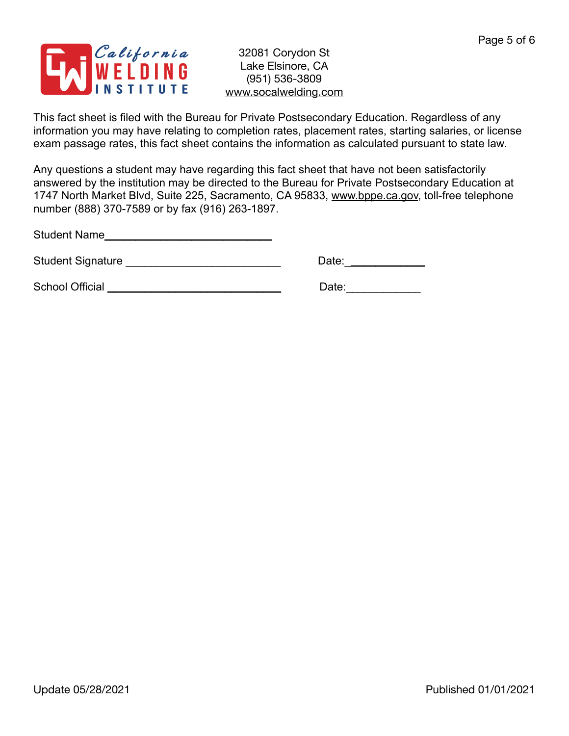

This fact sheet is filed with the Bureau for Private Postsecondary Education. Regardless of any information you may have relating to completion rates, placement rates, starting salaries, or license exam passage rates, this fact sheet contains the information as calculated pursuant to state law.

Any questions a student may have regarding this fact sheet that have not been satisfactorily answered by the institution may be directed to the Bureau for Private Postsecondary Education at 1747 North Market Blvd, Suite 225, Sacramento, CA 95833, [www.bppe.ca.gov](http://www.bppe.ca.gov), toll-free telephone number (888) 370-7589 or by fax (916) 263-1897.

Student Name\_\_\_\_\_\_\_\_\_\_\_\_\_\_\_\_\_\_\_\_\_\_\_\_\_\_\_

Student Signature \_\_\_\_\_\_\_\_\_\_\_\_\_\_\_\_\_\_\_\_\_\_\_\_\_ Date:\_\_\_\_\_\_\_\_\_\_\_\_\_

School Official \_\_\_\_\_\_\_\_\_\_\_\_\_\_\_\_\_\_\_\_\_\_\_\_\_\_\_\_ Date:\_\_\_\_\_\_\_\_\_\_\_\_